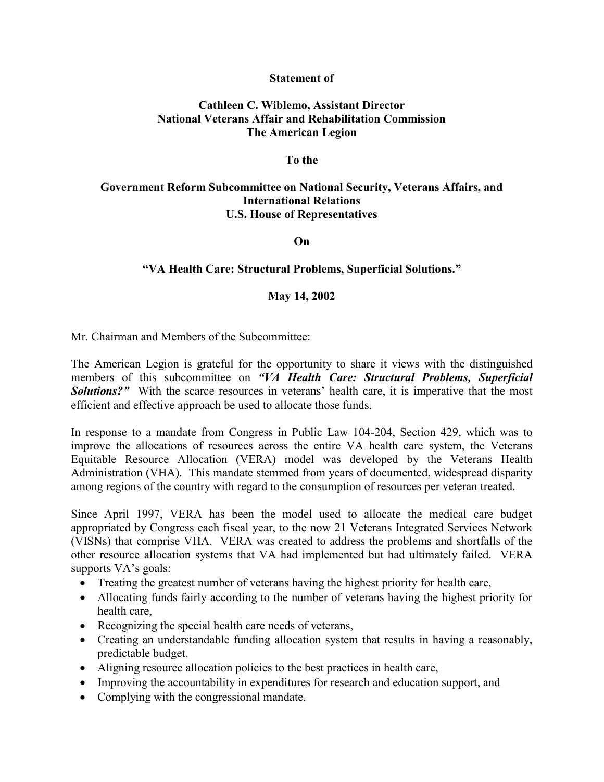### **Statement of**

## **Cathleen C. Wiblemo, Assistant Director National Veterans Affair and Rehabilitation Commission The American Legion**

### **To the**

# **Government Reform Subcommittee on National Security, Veterans Affairs, and International Relations U.S. House of Representatives**

**On**

### **"VA Health Care: Structural Problems, Superficial Solutions."**

### **May 14, 2002**

Mr. Chairman and Members of the Subcommittee:

The American Legion is grateful for the opportunity to share it views with the distinguished members of this subcommittee on *"VA Health Care: Structural Problems, Superficial*  **Solutions?"** With the scarce resources in veterans' health care, it is imperative that the most efficient and effective approach be used to allocate those funds.

In response to a mandate from Congress in Public Law 104-204, Section 429, which was to improve the allocations of resources across the entire VA health care system, the Veterans Equitable Resource Allocation (VERA) model was developed by the Veterans Health Administration (VHA). This mandate stemmed from years of documented, widespread disparity among regions of the country with regard to the consumption of resources per veteran treated.

Since April 1997, VERA has been the model used to allocate the medical care budget appropriated by Congress each fiscal year, to the now 21 Veterans Integrated Services Network (VISNs) that comprise VHA. VERA was created to address the problems and shortfalls of the other resource allocation systems that VA had implemented but had ultimately failed. VERA supports VA's goals:

- Treating the greatest number of veterans having the highest priority for health care,
- Allocating funds fairly according to the number of veterans having the highest priority for health care,
- Recognizing the special health care needs of veterans,
- Creating an understandable funding allocation system that results in having a reasonably, predictable budget,
- Aligning resource allocation policies to the best practices in health care,
- Improving the accountability in expenditures for research and education support, and
- Complying with the congressional mandate.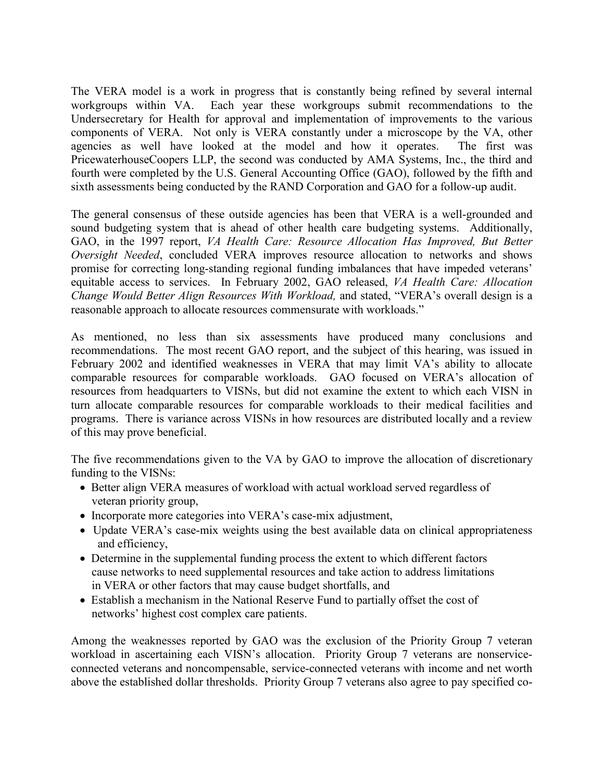The VERA model is a work in progress that is constantly being refined by several internal workgroups within VA. Each year these workgroups submit recommendations to the Undersecretary for Health for approval and implementation of improvements to the various components of VERA. Not only is VERA constantly under a microscope by the VA, other agencies as well have looked at the model and how it operates. The first was PricewaterhouseCoopers LLP, the second was conducted by AMA Systems, Inc., the third and fourth were completed by the U.S. General Accounting Office (GAO), followed by the fifth and sixth assessments being conducted by the RAND Corporation and GAO for a follow-up audit.

The general consensus of these outside agencies has been that VERA is a well-grounded and sound budgeting system that is ahead of other health care budgeting systems. Additionally, GAO, in the 1997 report, *VA Health Care: Resource Allocation Has Improved, But Better Oversight Needed*, concluded VERA improves resource allocation to networks and shows promise for correcting long-standing regional funding imbalances that have impeded veterans' equitable access to services. In February 2002, GAO released, *VA Health Care: Allocation Change Would Better Align Resources With Workload,* and stated, "VERA's overall design is a reasonable approach to allocate resources commensurate with workloads."

As mentioned, no less than six assessments have produced many conclusions and recommendations. The most recent GAO report, and the subject of this hearing, was issued in February 2002 and identified weaknesses in VERA that may limit VA's ability to allocate comparable resources for comparable workloads. GAO focused on VERA's allocation of resources from headquarters to VISNs, but did not examine the extent to which each VISN in turn allocate comparable resources for comparable workloads to their medical facilities and programs. There is variance across VISNs in how resources are distributed locally and a review of this may prove beneficial.

The five recommendations given to the VA by GAO to improve the allocation of discretionary funding to the VISNs:

- Better align VERA measures of workload with actual workload served regardless of veteran priority group,
- Incorporate more categories into VERA's case-mix adjustment,
- Update VERA's case-mix weights using the best available data on clinical appropriateness and efficiency,
- Determine in the supplemental funding process the extent to which different factors cause networks to need supplemental resources and take action to address limitations in VERA or other factors that may cause budget shortfalls, and
- Establish a mechanism in the National Reserve Fund to partially offset the cost of networks' highest cost complex care patients.

Among the weaknesses reported by GAO was the exclusion of the Priority Group 7 veteran workload in ascertaining each VISN's allocation. Priority Group 7 veterans are nonserviceconnected veterans and noncompensable, service-connected veterans with income and net worth above the established dollar thresholds. Priority Group 7 veterans also agree to pay specified co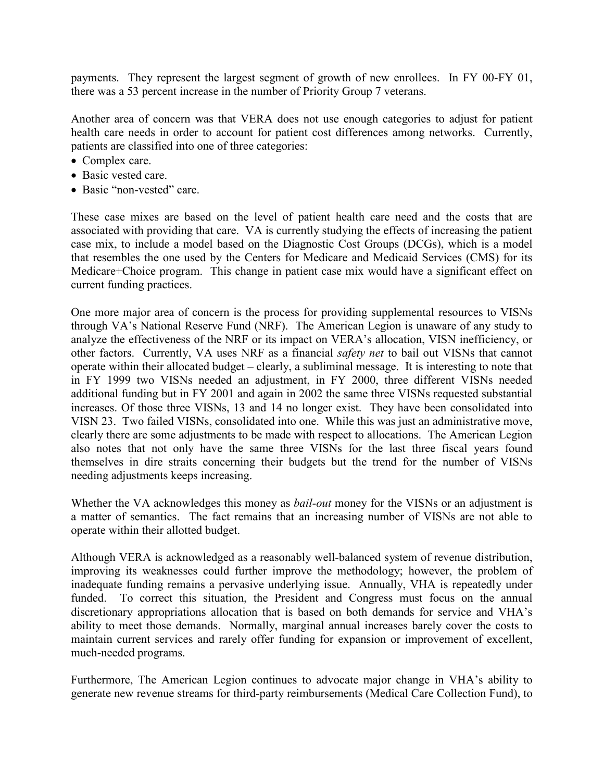payments. They represent the largest segment of growth of new enrollees. In FY 00-FY 01, there was a 53 percent increase in the number of Priority Group 7 veterans.

Another area of concern was that VERA does not use enough categories to adjust for patient health care needs in order to account for patient cost differences among networks. Currently, patients are classified into one of three categories:

- Complex care.
- Basic vested care.
- Basic "non-vested" care.

These case mixes are based on the level of patient health care need and the costs that are associated with providing that care. VA is currently studying the effects of increasing the patient case mix, to include a model based on the Diagnostic Cost Groups (DCGs), which is a model that resembles the one used by the Centers for Medicare and Medicaid Services (CMS) for its Medicare+Choice program. This change in patient case mix would have a significant effect on current funding practices.

One more major area of concern is the process for providing supplemental resources to VISNs through VA's National Reserve Fund (NRF). The American Legion is unaware of any study to analyze the effectiveness of the NRF or its impact on VERA's allocation, VISN inefficiency, or other factors. Currently, VA uses NRF as a financial *safety net* to bail out VISNs that cannot operate within their allocated budget – clearly, a subliminal message. It is interesting to note that in FY 1999 two VISNs needed an adjustment, in FY 2000, three different VISNs needed additional funding but in FY 2001 and again in 2002 the same three VISNs requested substantial increases. Of those three VISNs, 13 and 14 no longer exist. They have been consolidated into VISN 23. Two failed VISNs, consolidated into one. While this was just an administrative move, clearly there are some adjustments to be made with respect to allocations. The American Legion also notes that not only have the same three VISNs for the last three fiscal years found themselves in dire straits concerning their budgets but the trend for the number of VISNs needing adjustments keeps increasing.

Whether the VA acknowledges this money as *bail-out* money for the VISNs or an adjustment is a matter of semantics. The fact remains that an increasing number of VISNs are not able to operate within their allotted budget.

Although VERA is acknowledged as a reasonably well-balanced system of revenue distribution, improving its weaknesses could further improve the methodology; however, the problem of inadequate funding remains a pervasive underlying issue. Annually, VHA is repeatedly under funded. To correct this situation, the President and Congress must focus on the annual discretionary appropriations allocation that is based on both demands for service and VHA's ability to meet those demands. Normally, marginal annual increases barely cover the costs to maintain current services and rarely offer funding for expansion or improvement of excellent, much-needed programs.

Furthermore, The American Legion continues to advocate major change in VHA's ability to generate new revenue streams for third-party reimbursements (Medical Care Collection Fund), to